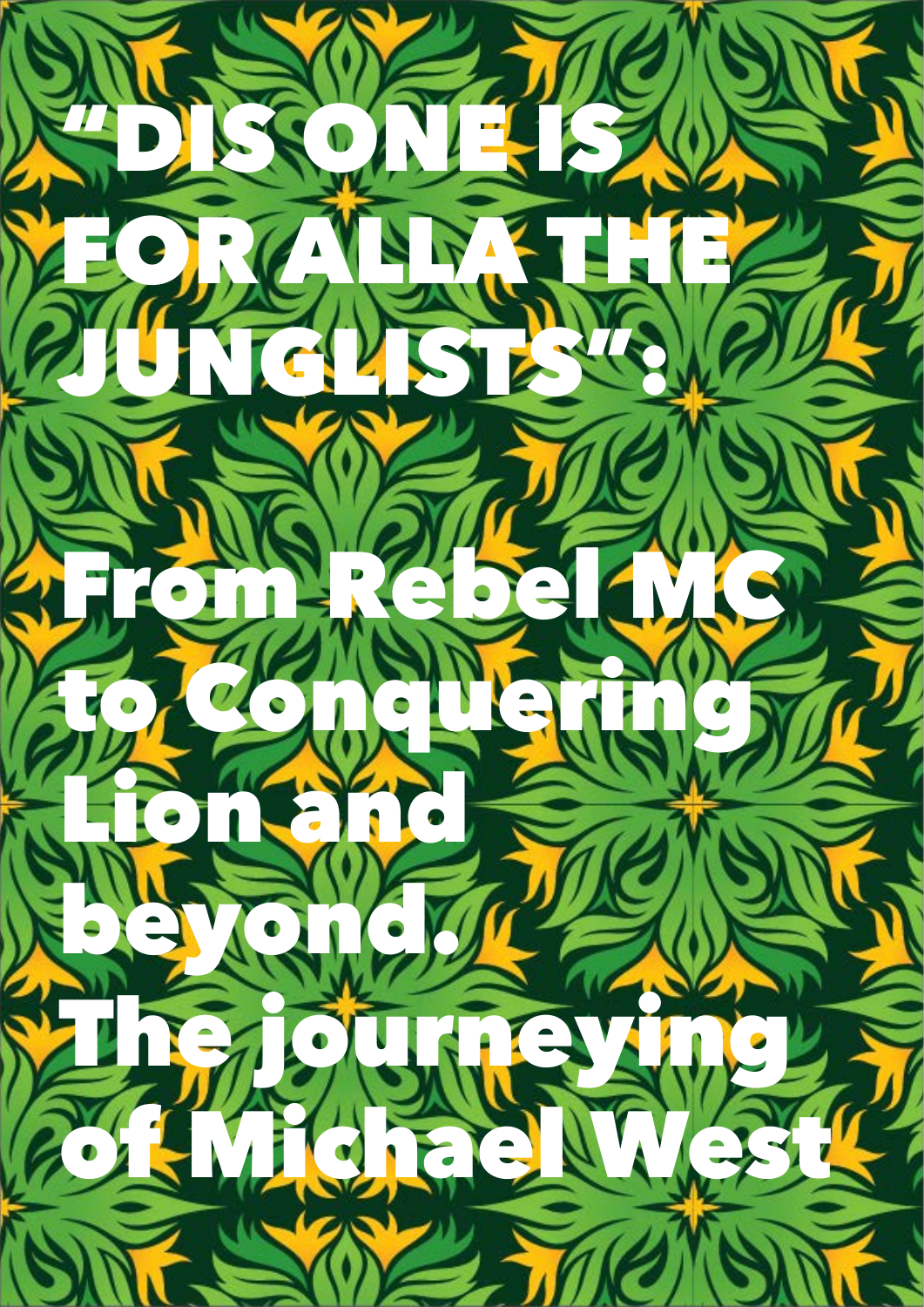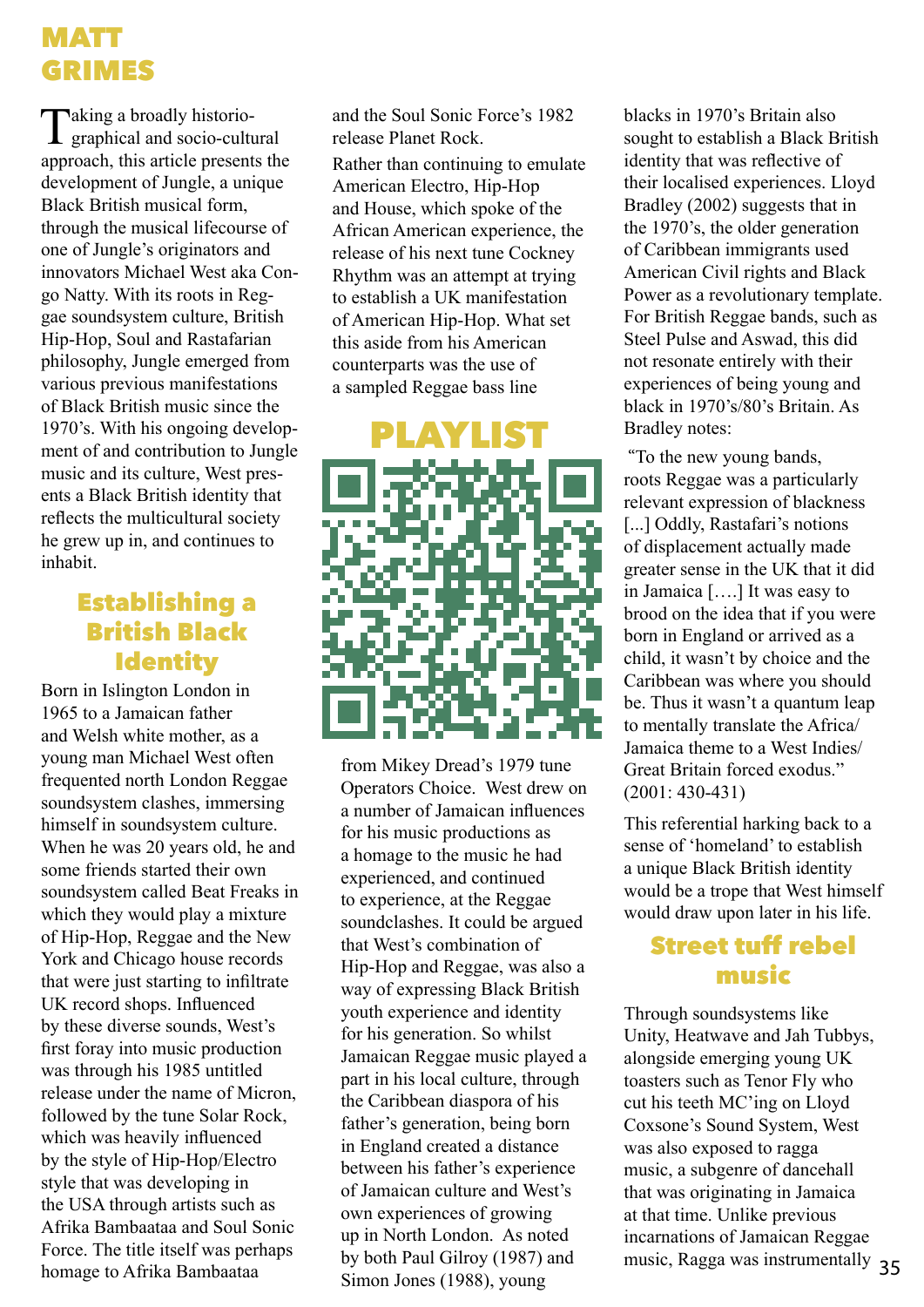# MATT GRIMES

Taking a broadly historio- $\perp$  graphical and socio-cultural approach, this article presents the development of Jungle, a unique Black British musical form, through the musical lifecourse of one of Jungle's originators and innovators Michael West aka Congo Natty. With its roots in Reggae soundsystem culture, British Hip-Hop, Soul and Rastafarian philosophy, Jungle emerged from various previous manifestations of Black British music since the 1970's. With his ongoing development of and contribution to Jungle music and its culture, West presents a Black British identity that reflects the multicultural society he grew up in, and continues to inhabit.

# Establishing a British Black **Identity**

Born in Islington London in 1965 to a Jamaican father and Welsh white mother, as a young man Michael West often frequented north London Reggae soundsystem clashes, immersing himself in soundsystem culture. When he was 20 years old, he and some friends started their own soundsystem called Beat Freaks in which they would play a mixture of Hip-Hop, Reggae and the New York and Chicago house records that were just starting to infiltrate UK record shops. Influenced by these diverse sounds, West's first foray into music production was through his 1985 untitled release under the name of Micron, followed by the tune Solar Rock, which was heavily influenced by the style of Hip-Hop/Electro style that was developing in the USA through artists such as Afrika Bambaataa and Soul Sonic Force. The title itself was perhaps homage to Afrika Bambaataa

and the Soul Sonic Force's 1982 release Planet Rock.

Rather than continuing to emulate American Electro, Hip-Hop and House, which spoke of the African American experience, the release of his next tune Cockney Rhythm was an attempt at trying to establish a UK manifestation of American Hip-Hop. What set this aside from his American counterparts was the use of a sampled Reggae bass line



from Mikey Dread's 1979 tune Operators Choice. West drew on a number of Jamaican influences for his music productions as a homage to the music he had experienced, and continued to experience, at the Reggae soundclashes. It could be argued that West's combination of Hip-Hop and Reggae, was also a way of expressing Black British youth experience and identity for his generation. So whilst Jamaican Reggae music played a part in his local culture, through the Caribbean diaspora of his father's generation, being born in England created a distance between his father's experience of Jamaican culture and West's own experiences of growing up in North London. As noted by both Paul Gilroy (1987) and Simon Jones (1988), young

blacks in 1970's Britain also sought to establish a Black British identity that was reflective of their localised experiences. Lloyd Bradley (2002) suggests that in the 1970's, the older generation of Caribbean immigrants used American Civil rights and Black Power as a revolutionary template. For British Reggae bands, such as Steel Pulse and Aswad, this did not resonate entirely with their experiences of being young and black in 1970's/80's Britain. As Bradley notes:

 "To the new young bands, roots Reggae was a particularly relevant expression of blackness [...] Oddly, Rastafari's notions of displacement actually made greater sense in the UK that it did in Jamaica [….] It was easy to brood on the idea that if you were born in England or arrived as a child, it wasn't by choice and the Caribbean was where you should be. Thus it wasn't a quantum leap to mentally translate the Africa/ Jamaica theme to a West Indies/ Great Britain forced exodus." (2001: 430-431)

This referential harking back to a sense of 'homeland' to establish a unique Black British identity would be a trope that West himself would draw upon later in his life.

### Street tuff rebel music

music, Ragga was instrumentally 35 Through soundsystems like Unity, Heatwave and Jah Tubbys, alongside emerging young UK toasters such as Tenor Fly who cut his teeth MC'ing on Lloyd Coxsone's Sound System, West was also exposed to ragga music, a subgenre of dancehall that was originating in Jamaica at that time. Unlike previous incarnations of Jamaican Reggae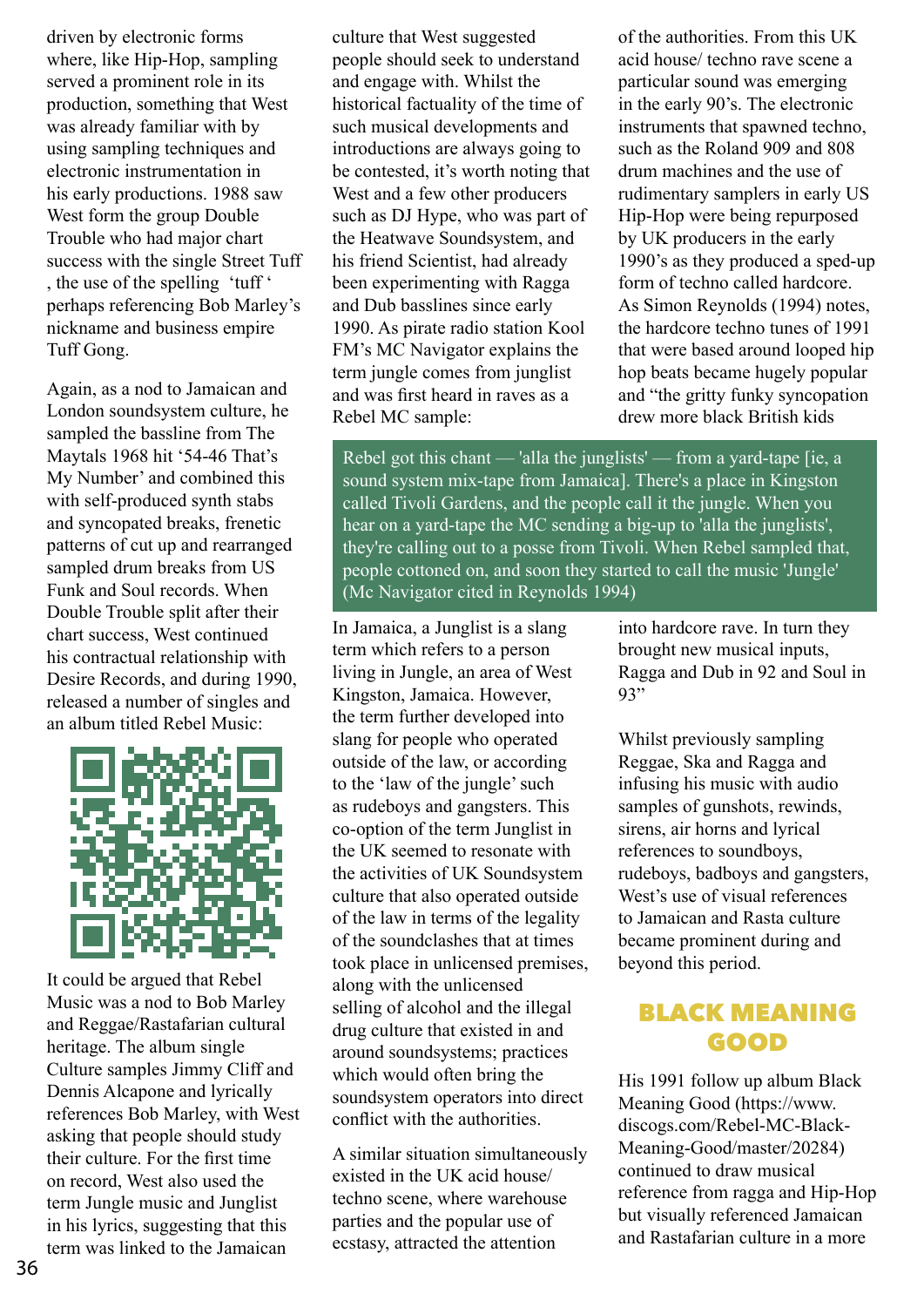driven by electronic forms where, like Hip-Hop, sampling served a prominent role in its production, something that West was already familiar with by using sampling techniques and electronic instrumentation in his early productions. 1988 saw West form the group Double Trouble who had major chart success with the single Street Tuff , the use of the spelling 'tuff ' perhaps referencing Bob Marley's nickname and business empire Tuff Gong.

Again, as a nod to Jamaican and London soundsystem culture, he sampled the bassline from The Maytals 1968 hit '54-46 That's My Number' and combined this with self-produced synth stabs and syncopated breaks, frenetic patterns of cut up and rearranged sampled drum breaks from US Funk and Soul records. When Double Trouble split after their chart success, West continued his contractual relationship with Desire Records, and during 1990, released a number of singles and an album titled Rebel Music:



It could be argued that Rebel Music was a nod to Bob Marley and Reggae/Rastafarian cultural heritage. The album single Culture samples Jimmy Cliff and Dennis Alcapone and lyrically references Bob Marley, with West asking that people should study their culture. For the first time on record, West also used the term Jungle music and Junglist in his lyrics, suggesting that this term was linked to the Jamaican

culture that West suggested people should seek to understand and engage with. Whilst the historical factuality of the time of such musical developments and introductions are always going to be contested, it's worth noting that West and a few other producers such as DJ Hype, who was part of the Heatwave Soundsystem, and his friend Scientist, had already been experimenting with Ragga and Dub basslines since early 1990. As pirate radio station Kool FM's MC Navigator explains the term jungle comes from junglist and was first heard in raves as a Rebel MC sample:

of the authorities. From this UK acid house/ techno rave scene a particular sound was emerging in the early 90's. The electronic instruments that spawned techno, such as the Roland 909 and 808 drum machines and the use of rudimentary samplers in early US Hip-Hop were being repurposed by UK producers in the early 1990's as they produced a sped-up form of techno called hardcore. As Simon Reynolds (1994) notes, the hardcore techno tunes of 1991 that were based around looped hip hop beats became hugely popular and "the gritty funky syncopation drew more black British kids

Rebel got this chant — 'alla the junglists' — from a yard-tape [ie, a sound system mix-tape from Jamaica]. There's a place in Kingston called Tivoli Gardens, and the people call it the jungle. When you hear on a yard-tape the MC sending a big-up to 'alla the junglists', they're calling out to a posse from Tivoli. When Rebel sampled that, people cottoned on, and soon they started to call the music 'Jungle' (Mc Navigator cited in Reynolds 1994)

In Jamaica, a Junglist is a slang term which refers to a person living in Jungle, an area of West Kingston, Jamaica. However, the term further developed into slang for people who operated outside of the law, or according to the 'law of the jungle' such as rudeboys and gangsters. This co-option of the term Junglist in the UK seemed to resonate with the activities of UK Soundsystem culture that also operated outside of the law in terms of the legality of the soundclashes that at times took place in unlicensed premises, along with the unlicensed selling of alcohol and the illegal drug culture that existed in and around soundsystems; practices which would often bring the soundsystem operators into direct conflict with the authorities.

A similar situation simultaneously existed in the UK acid house/ techno scene, where warehouse parties and the popular use of ecstasy, attracted the attention

into hardcore rave. In turn they brought new musical inputs, Ragga and Dub in 92 and Soul in 93"

Whilst previously sampling Reggae, Ska and Ragga and infusing his music with audio samples of gunshots, rewinds, sirens, air horns and lyrical references to soundboys, rudeboys, badboys and gangsters, West's use of visual references to Jamaican and Rasta culture became prominent during and beyond this period.

### BLACK MEANING GOOD

His 1991 follow up album Black Meaning Good (https://www. discogs.com/Rebel-MC-Black-Meaning-Good/master/20284) continued to draw musical reference from ragga and Hip-Hop but visually referenced Jamaican and Rastafarian culture in a more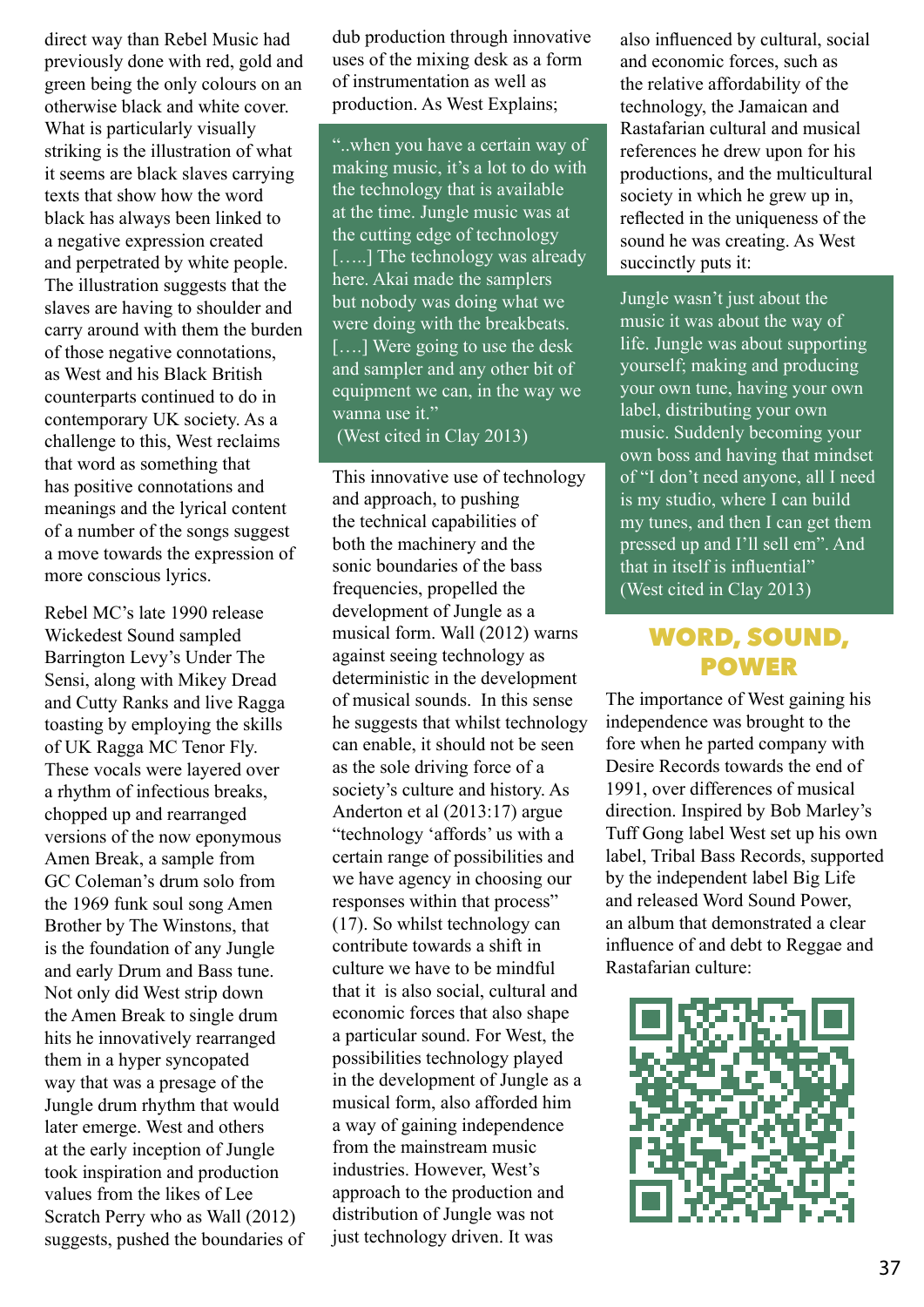direct way than Rebel Music had previously done with red, gold and green being the only colours on an otherwise black and white cover. What is particularly visually striking is the illustration of what it seems are black slaves carrying texts that show how the word black has always been linked to a negative expression created and perpetrated by white people. The illustration suggests that the slaves are having to shoulder and carry around with them the burden of those negative connotations, as West and his Black British counterparts continued to do in contemporary UK society. As a challenge to this, West reclaims that word as something that has positive connotations and meanings and the lyrical content of a number of the songs suggest a move towards the expression of more conscious lyrics.

Rebel MC's late 1990 release Wickedest Sound sampled Barrington Levy's Under The Sensi, along with Mikey Dread and Cutty Ranks and live Ragga toasting by employing the skills of UK Ragga MC Tenor Fly. These vocals were layered over a rhythm of infectious breaks, chopped up and rearranged versions of the now eponymous Amen Break, a sample from GC Coleman's drum solo from the 1969 funk soul song Amen Brother by The Winstons, that is the foundation of any Jungle and early Drum and Bass tune. Not only did West strip down the Amen Break to single drum hits he innovatively rearranged them in a hyper syncopated way that was a presage of the Jungle drum rhythm that would later emerge. West and others at the early inception of Jungle took inspiration and production values from the likes of Lee Scratch Perry who as Wall (2012) suggests, pushed the boundaries of dub production through innovative uses of the mixing desk as a form of instrumentation as well as production. As West Explains;

"..when you have a certain way of making music, it's a lot to do with the technology that is available at the time. Jungle music was at the cutting edge of technology [.....] The technology was already here. Akai made the samplers but nobody was doing what we were doing with the breakbeats. [....] Were going to use the desk and sampler and any other bit of equipment we can, in the way we wanna use it."

#### (West cited in Clay 2013)

This innovative use of technology and approach, to pushing the technical capabilities of both the machinery and the sonic boundaries of the bass frequencies, propelled the development of Jungle as a musical form. Wall (2012) warns against seeing technology as deterministic in the development of musical sounds. In this sense he suggests that whilst technology can enable, it should not be seen as the sole driving force of a society's culture and history. As Anderton et al (2013:17) argue "technology 'affords' us with a certain range of possibilities and we have agency in choosing our responses within that process" (17). So whilst technology can contribute towards a shift in culture we have to be mindful that it is also social, cultural and economic forces that also shape a particular sound. For West, the possibilities technology played in the development of Jungle as a musical form, also afforded him a way of gaining independence from the mainstream music industries. However, West's approach to the production and distribution of Jungle was not just technology driven. It was

also influenced by cultural, social and economic forces, such as the relative affordability of the technology, the Jamaican and Rastafarian cultural and musical references he drew upon for his productions, and the multicultural society in which he grew up in, reflected in the uniqueness of the sound he was creating. As West succinctly puts it:

Jungle wasn't just about the music it was about the way of life. Jungle was about supporting yourself; making and producing your own tune, having your own label, distributing your own music. Suddenly becoming your own boss and having that mindset of "I don't need anyone, all I need is my studio, where I can build my tunes, and then I can get them pressed up and I'll sell em". And that in itself is influential" (West cited in Clay 2013)

# WORD, SOUND, POWER

The importance of West gaining his independence was brought to the fore when he parted company with Desire Records towards the end of 1991, over differences of musical direction. Inspired by Bob Marley's Tuff Gong label West set up his own label, Tribal Bass Records, supported by the independent label Big Life and released Word Sound Power, an album that demonstrated a clear influence of and debt to Reggae and Rastafarian culture:

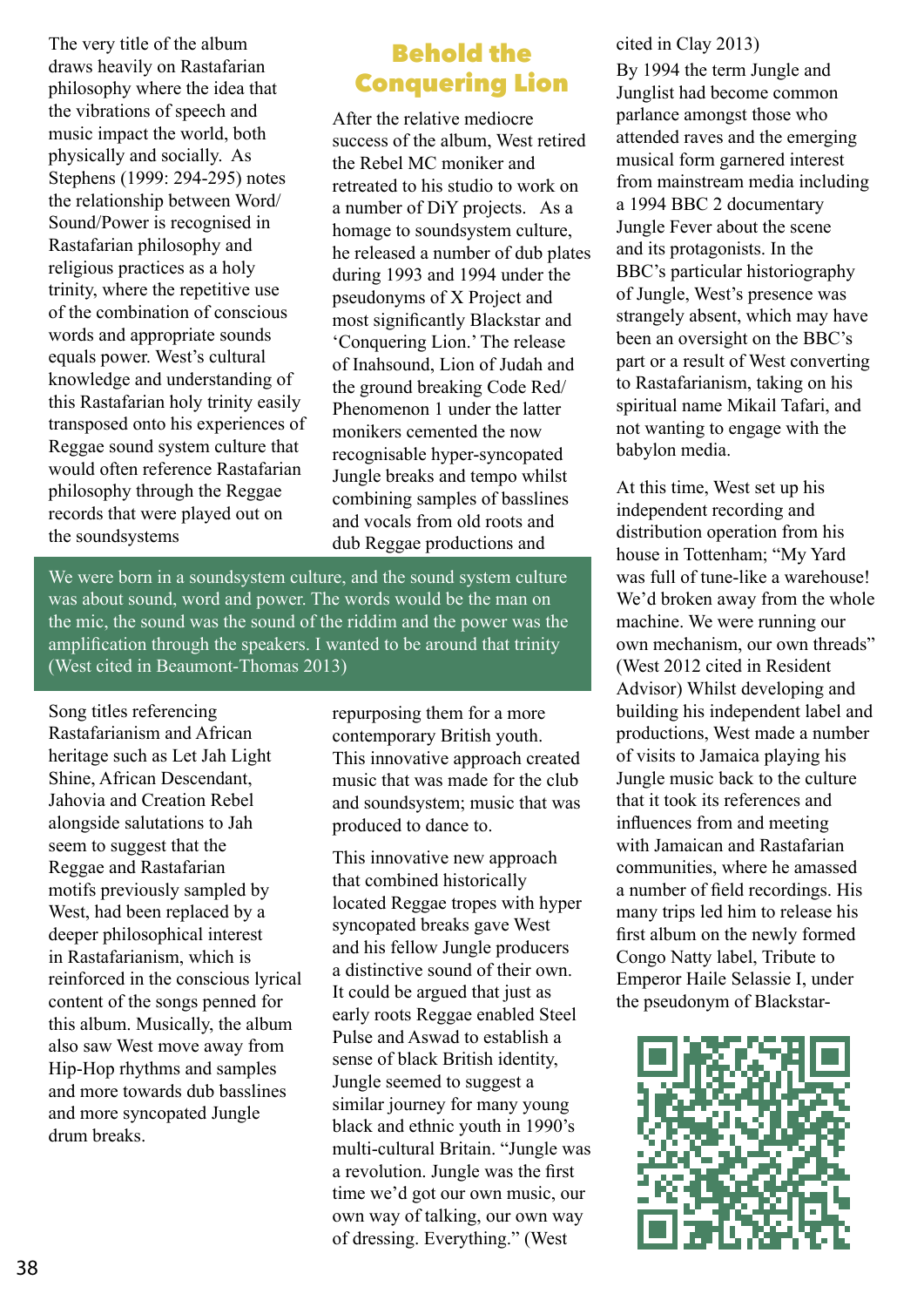The very title of the album draws heavily on Rastafarian philosophy where the idea that the vibrations of speech and music impact the world, both physically and socially. As Stephens (1999: 294-295) notes the relationship between Word/ Sound/Power is recognised in Rastafarian philosophy and religious practices as a holy trinity, where the repetitive use of the combination of conscious words and appropriate sounds equals power. West's cultural knowledge and understanding of this Rastafarian holy trinity easily transposed onto his experiences of Reggae sound system culture that would often reference Rastafarian philosophy through the Reggae records that were played out on the soundsystems

### Behold the Conquering Lion

After the relative mediocre success of the album, West retired the Rebel MC moniker and retreated to his studio to work on a number of DiY projects. As a homage to soundsystem culture, he released a number of dub plates during 1993 and 1994 under the pseudonyms of X Project and most significantly Blackstar and 'Conquering Lion.' The release of Inahsound, Lion of Judah and the ground breaking Code Red/ Phenomenon 1 under the latter monikers cemented the now recognisable hyper-syncopated Jungle breaks and tempo whilst combining samples of basslines and vocals from old roots and dub Reggae productions and

We were born in a soundsystem culture, and the sound system culture was about sound, word and power. The words would be the man on the mic, the sound was the sound of the riddim and the power was the amplification through the speakers. I wanted to be around that trinity (West cited in Beaumont-Thomas 2013)

Song titles referencing Rastafarianism and African heritage such as Let Jah Light Shine, African Descendant, Jahovia and Creation Rebel alongside salutations to Jah seem to suggest that the Reggae and Rastafarian motifs previously sampled by West, had been replaced by a deeper philosophical interest in Rastafarianism, which is reinforced in the conscious lyrical content of the songs penned for this album. Musically, the album also saw West move away from Hip-Hop rhythms and samples and more towards dub basslines and more syncopated Jungle drum breaks.

repurposing them for a more contemporary British youth. This innovative approach created music that was made for the club and soundsystem; music that was produced to dance to.

This innovative new approach that combined historically located Reggae tropes with hyper syncopated breaks gave West and his fellow Jungle producers a distinctive sound of their own. It could be argued that just as early roots Reggae enabled Steel Pulse and Aswad to establish a sense of black British identity, Jungle seemed to suggest a similar journey for many young black and ethnic youth in 1990's multi-cultural Britain. "Jungle was a revolution. Jungle was the first time we'd got our own music, our own way of talking, our own way of dressing. Everything." (West

#### cited in Clay 2013)

By 1994 the term Jungle and Junglist had become common parlance amongst those who attended raves and the emerging musical form garnered interest from mainstream media including a 1994 BBC 2 documentary Jungle Fever about the scene and its protagonists. In the BBC's particular historiography of Jungle, West's presence was strangely absent, which may have been an oversight on the BBC's part or a result of West converting to Rastafarianism, taking on his spiritual name Mikail Tafari, and not wanting to engage with the babylon media.

At this time, West set up his independent recording and distribution operation from his house in Tottenham; "My Yard was full of tune-like a warehouse! We'd broken away from the whole machine. We were running our own mechanism, our own threads" (West 2012 cited in Resident Advisor) Whilst developing and building his independent label and productions, West made a number of visits to Jamaica playing his Jungle music back to the culture that it took its references and influences from and meeting with Jamaican and Rastafarian communities, where he amassed a number of field recordings. His many trips led him to release his first album on the newly formed Congo Natty label, Tribute to Emperor Haile Selassie I, under the pseudonym of Blackstar-

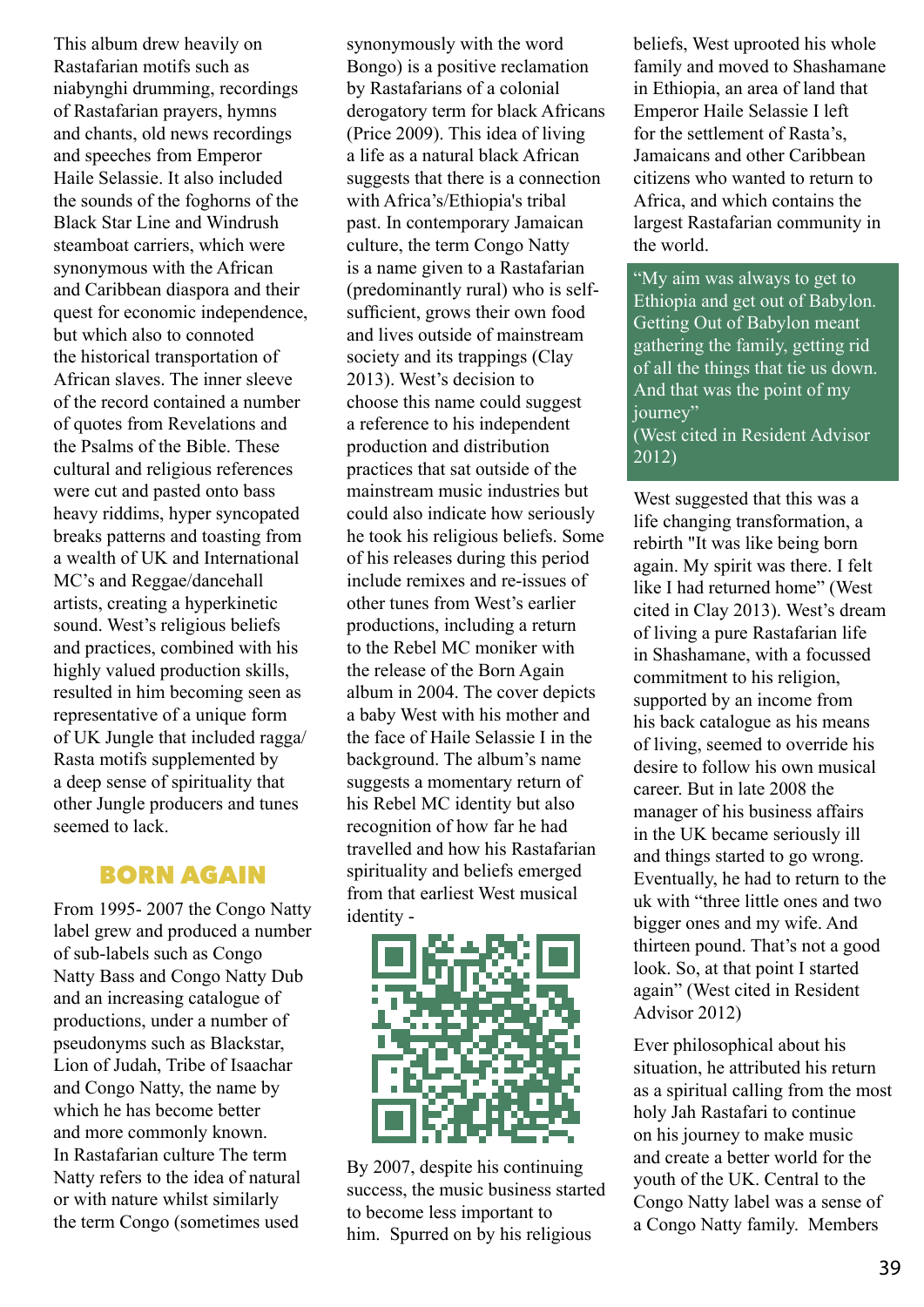This album drew heavily on Rastafarian motifs such as niabynghi drumming, recordings of Rastafarian prayers, hymns and chants, old news recordings and speeches from Emperor Haile Selassie. It also included the sounds of the foghorns of the Black Star Line and Windrush steamboat carriers, which were synonymous with the African and Caribbean diaspora and their quest for economic independence, but which also to connoted the historical transportation of African slaves. The inner sleeve of the record contained a number of quotes from Revelations and the Psalms of the Bible. These cultural and religious references were cut and pasted onto bass heavy riddims, hyper syncopated breaks patterns and toasting from a wealth of UK and International MC's and Reggae/dancehall artists, creating a hyperkinetic sound. West's religious beliefs and practices, combined with his highly valued production skills, resulted in him becoming seen as representative of a unique form of UK Jungle that included ragga/ Rasta motifs supplemented by a deep sense of spirituality that other Jungle producers and tunes seemed to lack.

### BORN AGAIN

From 1995- 2007 the Congo Natty label grew and produced a number of sub-labels such as Congo Natty Bass and Congo Natty Dub and an increasing catalogue of productions, under a number of pseudonyms such as Blackstar, Lion of Judah, Tribe of Isaachar and Congo Natty, the name by which he has become better and more commonly known. In Rastafarian culture The term Natty refers to the idea of natural or with nature whilst similarly the term Congo (sometimes used

synonymously with the word Bongo) is a positive reclamation by Rastafarians of a colonial derogatory term for black Africans (Price 2009). This idea of living a life as a natural black African suggests that there is a connection with Africa's/Ethiopia's tribal past. In contemporary Jamaican culture, the term Congo Natty is a name given to a Rastafarian (predominantly rural) who is selfsufficient, grows their own food and lives outside of mainstream society and its trappings (Clay 2013). West's decision to choose this name could suggest a reference to his independent production and distribution practices that sat outside of the mainstream music industries but could also indicate how seriously he took his religious beliefs. Some of his releases during this period include remixes and re-issues of other tunes from West's earlier productions, including a return to the Rebel MC moniker with the release of the Born Again album in 2004. The cover depicts a baby West with his mother and the face of Haile Selassie I in the background. The album's name suggests a momentary return of his Rebel MC identity but also recognition of how far he had travelled and how his Rastafarian spirituality and beliefs emerged from that earliest West musical identity -



By 2007, despite his continuing success, the music business started to become less important to him. Spurred on by his religious

beliefs, West uprooted his whole family and moved to Shashamane in Ethiopia, an area of land that Emperor Haile Selassie I left for the settlement of Rasta's, Jamaicans and other Caribbean citizens who wanted to return to Africa, and which contains the largest Rastafarian community in the world.

"My aim was always to get to Ethiopia and get out of Babylon. Getting Out of Babylon meant gathering the family, getting rid of all the things that tie us down. And that was the point of my journey" (West cited in Resident Advisor 2012)

West suggested that this was a life changing transformation, a rebirth "It was like being born again. My spirit was there. I felt like I had returned home" (West cited in Clay 2013). West's dream of living a pure Rastafarian life in Shashamane, with a focussed commitment to his religion, supported by an income from his back catalogue as his means of living, seemed to override his desire to follow his own musical career. But in late 2008 the manager of his business affairs in the UK became seriously ill and things started to go wrong. Eventually, he had to return to the uk with "three little ones and two bigger ones and my wife. And thirteen pound. That's not a good look. So, at that point I started again" (West cited in Resident Advisor 2012)

Ever philosophical about his situation, he attributed his return as a spiritual calling from the most holy Jah Rastafari to continue on his journey to make music and create a better world for the youth of the UK. Central to the Congo Natty label was a sense of a Congo Natty family. Members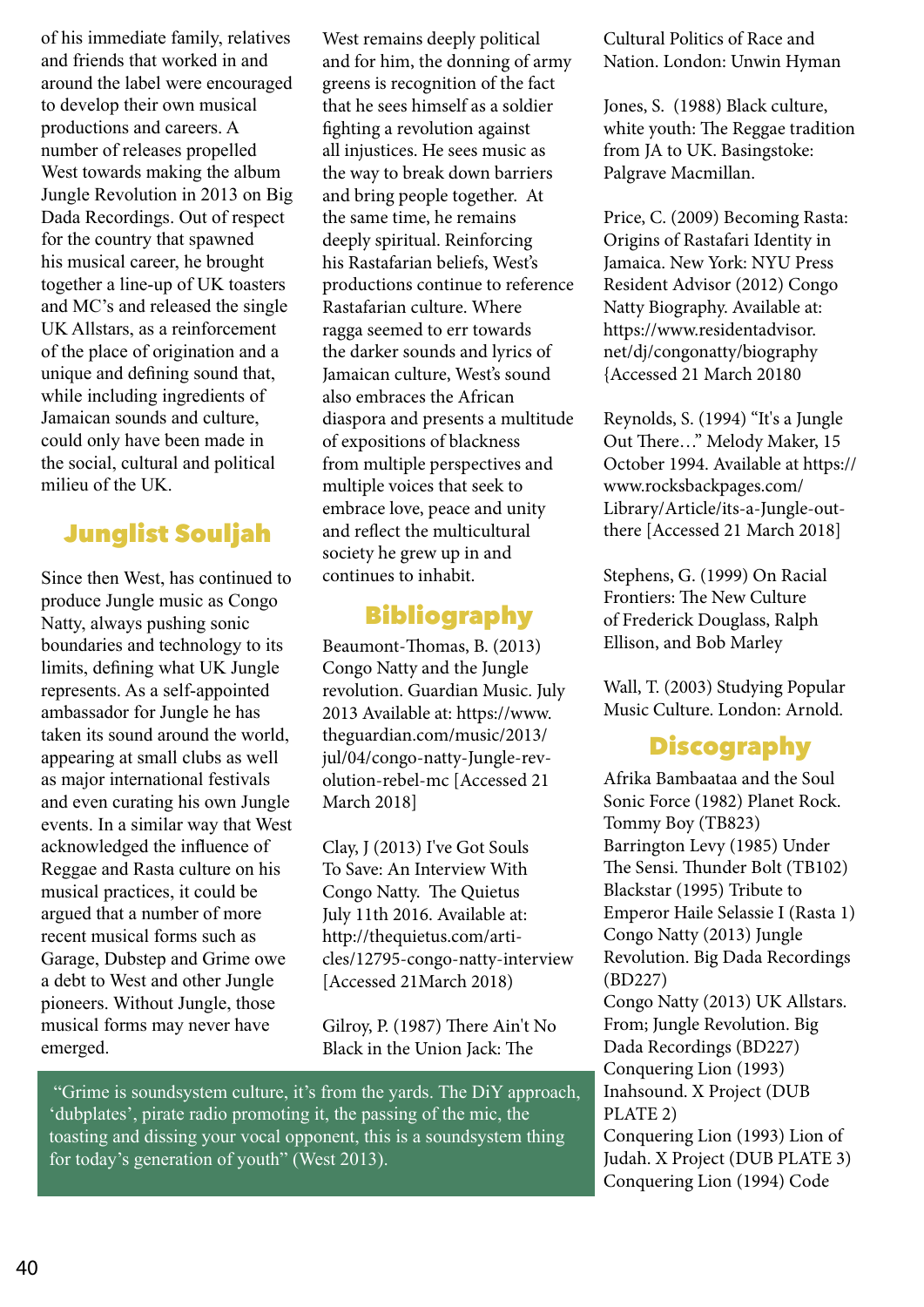of his immediate family, relatives and friends that worked in and around the label were encouraged to develop their own musical productions and careers. A number of releases propelled West towards making the album Jungle Revolution in 2013 on Big Dada Recordings. Out of respect for the country that spawned his musical career, he brought together a line-up of UK toasters and MC's and released the single UK Allstars, as a reinforcement of the place of origination and a unique and defining sound that, while including ingredients of Jamaican sounds and culture, could only have been made in the social, cultural and political milieu of the UK.

# Junglist Souljah

Since then West, has continued to produce Jungle music as Congo Natty, always pushing sonic boundaries and technology to its limits, defining what UK Jungle represents. As a self-appointed ambassador for Jungle he has taken its sound around the world, appearing at small clubs as well as major international festivals and even curating his own Jungle events. In a similar way that West acknowledged the influence of Reggae and Rasta culture on his musical practices, it could be argued that a number of more recent musical forms such as Garage, Dubstep and Grime owe a debt to West and other Jungle pioneers. Without Jungle, those musical forms may never have emerged.

West remains deeply political and for him, the donning of army greens is recognition of the fact that he sees himself as a soldier fighting a revolution against all injustices. He sees music as the way to break down barriers and bring people together. At the same time, he remains deeply spiritual. Reinforcing his Rastafarian beliefs, West's productions continue to reference Rastafarian culture. Where ragga seemed to err towards the darker sounds and lyrics of Jamaican culture, West's sound also embraces the African diaspora and presents a multitude of expositions of blackness from multiple perspectives and multiple voices that seek to embrace love, peace and unity and reflect the multicultural society he grew up in and continues to inhabit.

### Bibliography

Beaumont-Thomas, B. (2013) Congo Natty and the Jungle revolution. Guardian Music. July 2013 Available at: https://www. theguardian.com/music/2013/ jul/04/congo-natty-Jungle-revolution-rebel-mc [Accessed 21 March 2018]

Clay, J (2013) I've Got Souls To Save: An Interview With Congo Natty. The Quietus July 11th 2016. Available at: http://thequietus.com/articles/12795-congo-natty-interview [Accessed 21March 2018)

Gilroy, P. (1987) There Ain't No Black in the Union Jack: The

 "Grime is soundsystem culture, it's from the yards. The DiY approach, 'dubplates', pirate radio promoting it, the passing of the mic, the toasting and dissing your vocal opponent, this is a soundsystem thing for today's generation of youth" (West 2013).

Cultural Politics of Race and Nation. London: Unwin Hyman

Jones, S. (1988) Black culture, white youth: The Reggae tradition from JA to UK. Basingstoke: Palgrave Macmillan.

Price, C. (2009) Becoming Rasta: Origins of Rastafari Identity in Jamaica. New York: NYU Press Resident Advisor (2012) Congo Natty Biography. Available at: https://www.residentadvisor. net/dj/congonatty/biography {Accessed 21 March 20180

Reynolds, S. (1994) "It's a Jungle Out There…" Melody Maker, 15 October 1994. Available at https:// www.rocksbackpages.com/ Library/Article/its-a-Jungle-outthere [Accessed 21 March 2018]

Stephens, G. (1999) On Racial Frontiers: The New Culture of Frederick Douglass, Ralph Ellison, and Bob Marley

Wall, T. (2003) Studying Popular Music Culture. London: Arnold.

# **Discography**

Afrika Bambaataa and the Soul Sonic Force (1982) Planet Rock. Tommy Boy (TB823) Barrington Levy (1985) Under The Sensi. Thunder Bolt (TB102) Blackstar (1995) Tribute to Emperor Haile Selassie I (Rasta 1) Congo Natty (2013) Jungle Revolution. Big Dada Recordings (BD227) Congo Natty (2013) UK Allstars. From; Jungle Revolution. Big Dada Recordings (BD227) Conquering Lion (1993) Inahsound. X Project (DUB PLATE 2) Conquering Lion (1993) Lion of Judah. X Project (DUB PLATE 3) Conquering Lion (1994) Code